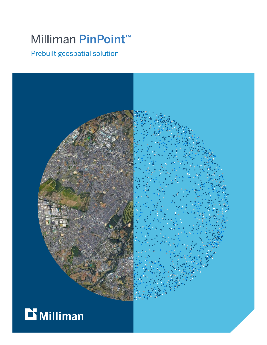# Milliman PinPoint™

Prebuilt geospatial solution



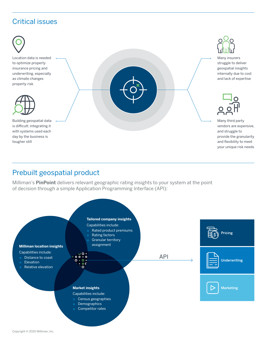### Critical issues

day by the business is

tougher still



vendors are expensive, and struggle to provide the granularity and flexibility to meet your unique risk needs

#### Prebuilt geospatial product

Milliman's **PinPoint** delivers relevant geographic rating insights to your system at the point of decision through a simple Application Programming Interface (API):

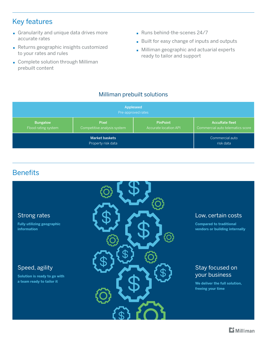#### Key features

- Granularity and unique data drives more accurate rates
- Returns geographic insights customized to your rates and rules
- **Complete solution through Milliman** prebuilt content
- Runs behind-the-scenes 24/7
- Built for easy change of inputs and outputs
- **Milliman geographic and actuarial experts** ready to tailor and support

#### Milliman prebuilt solutions

| Appleseed<br>Pre-approved rates |                             |                       |                                  |
|---------------------------------|-----------------------------|-----------------------|----------------------------------|
| <b>Bungalow</b>                 | <b>Pixel</b>                | <b>PinPoint</b>       | <b>AccuRate fleet</b>            |
| Flood rating system             | Competitive analysis system | Accurate location API | Commercial auto telematics score |
| <b>Market baskets</b>           |                             |                       | Commercial auto                  |
| Property risk data              |                             |                       | risk data                        |

#### **Benefits**

## Speed, agility **Solution is ready to go with a team ready to tailor it** Stay focused on your business **We deliver the full solution, freeing your time**  Strong rates **Fully utilizing geographic information**  Low, certain costs **Compared to traditional vendors or building internally**